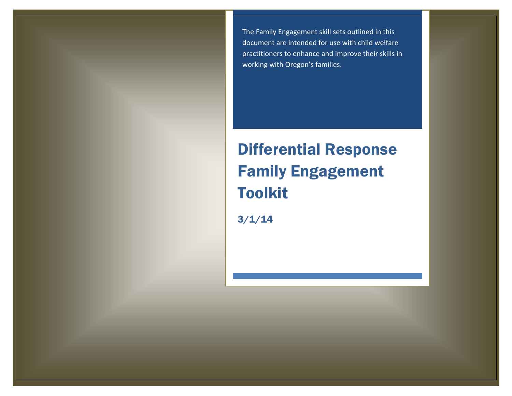The Family Engagement skill sets outlined in this document are intended for use with child welfare practitioners to enhance and improve their skills in working with Oregon's families.

# Differential Response Family Engagement Toolkit

3/1/14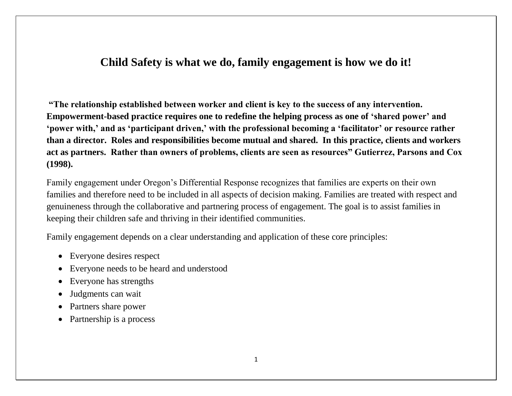### **Child Safety is what we do, family engagement is how we do it!**

**"The relationship established between worker and client is key to the success of any intervention. Empowerment-based practice requires one to redefine the helping process as one of 'shared power' and 'power with,' and as 'participant driven,' with the professional becoming a 'facilitator' or resource rather than a director. Roles and responsibilities become mutual and shared. In this practice, clients and workers act as partners. Rather than owners of problems, clients are seen as resources" Gutierrez, Parsons and Cox (1998).**

Family engagement under Oregon's Differential Response recognizes that families are experts on their own families and therefore need to be included in all aspects of decision making. Families are treated with respect and genuineness through the collaborative and partnering process of engagement. The goal is to assist families in keeping their children safe and thriving in their identified communities.

Family engagement depends on a clear understanding and application of these core principles:

- Everyone desires respect
- Everyone needs to be heard and understood
- Everyone has strengths
- Judgments can wait
- Partners share power
- Partnership is a process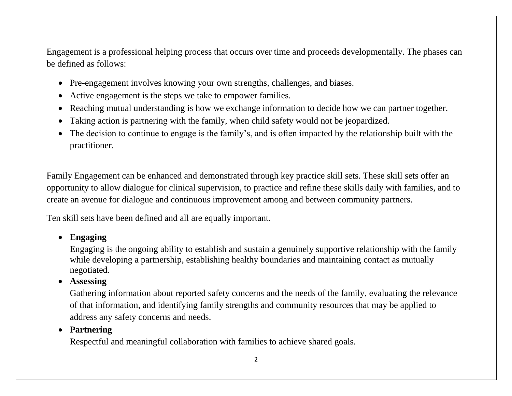Engagement is a professional helping process that occurs over time and proceeds developmentally. The phases can be defined as follows:

- Pre-engagement involves knowing your own strengths, challenges, and biases.
- Active engagement is the steps we take to empower families.
- Reaching mutual understanding is how we exchange information to decide how we can partner together.
- Taking action is partnering with the family, when child safety would not be jeopardized.
- The decision to continue to engage is the family's, and is often impacted by the relationship built with the practitioner.

Family Engagement can be enhanced and demonstrated through key practice skill sets. These skill sets offer an opportunity to allow dialogue for clinical supervision, to practice and refine these skills daily with families, and to create an avenue for dialogue and continuous improvement among and between community partners.

Ten skill sets have been defined and all are equally important.

#### **Engaging**

Engaging is the ongoing ability to establish and sustain a genuinely supportive relationship with the family while developing a partnership, establishing healthy boundaries and maintaining contact as mutually negotiated.

**Assessing**

Gathering information about reported safety concerns and the needs of the family, evaluating the relevance of that information, and identifying family strengths and community resources that may be applied to address any safety concerns and needs.

#### **Partnering**

Respectful and meaningful collaboration with families to achieve shared goals.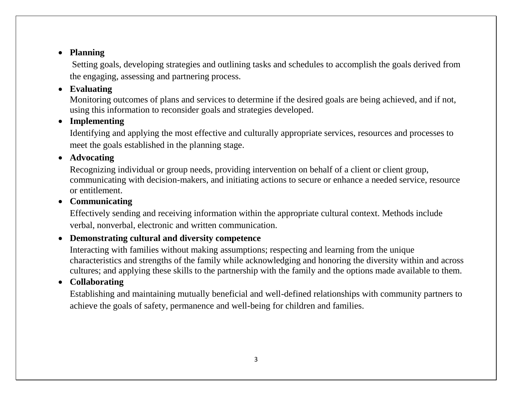Setting goals, developing strategies and outlining tasks and schedules to accomplish the goals derived from the engaging, assessing and partnering process.

### **Evaluating**

Monitoring outcomes of plans and services to determine if the desired goals are being achieved, and if not, using this information to reconsider goals and strategies developed.

### **Implementing**

Identifying and applying the most effective and culturally appropriate services, resources and processes to meet the goals established in the planning stage.

#### **Advocating**

Recognizing individual or group needs, providing intervention on behalf of a client or client group, communicating with decision-makers, and initiating actions to secure or enhance a needed service, resource or entitlement.

#### **Communicating**

Effectively sending and receiving information within the appropriate cultural context. Methods include verbal, nonverbal, electronic and written communication.

#### **Demonstrating cultural and diversity competence**

Interacting with families without making assumptions; respecting and learning from the unique characteristics and strengths of the family while acknowledging and honoring the diversity within and across cultures; and applying these skills to the partnership with the family and the options made available to them.

### **Collaborating**

Establishing and maintaining mutually beneficial and well-defined relationships with community partners to achieve the goals of safety, permanence and well-being for children and families.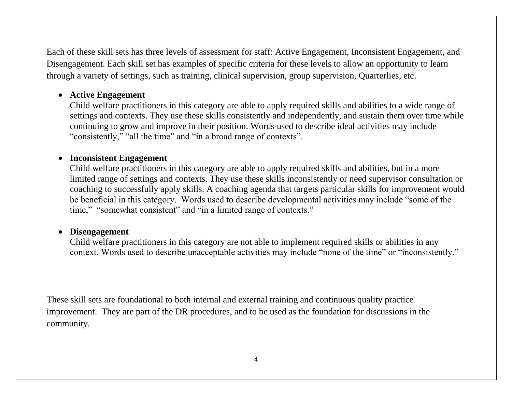Each of these skill sets has three levels of assessment for staff: Active Engagement, Inconsistent Engagement, and Disengagement. Each skill set has examples of specific criteria for these levels to allow an opportunity to learn through a variety of settings, such as training, clinical supervision, group supervision, Quarterlies, etc.

#### **Active Engagement**

Child welfare practitioners in this category are able to apply required skills and abilities to a wide range of settings and contexts. They use these skills consistently and independently, and sustain them over time while continuing to grow and improve in their position. Words used to describe ideal activities may include "consistently," "all the time" and "in a broad range of contexts".

#### **Inconsistent Engagement**

Child welfare practitioners in this category are able to apply required skills and abilities, but in a more limited range of settings and contexts. They use these skills inconsistently or need supervisor consultation or coaching to successfully apply skills. A coaching agenda that targets particular skills for improvement would be beneficial in this category. Words used to describe developmental activities may include "some of the time," "somewhat consistent" and "in a limited range of contexts."

#### **Disengagement**

Child welfare practitioners in this category are not able to implement required skills or abilities in any context. Words used to describe unacceptable activities may include "none of the time" or "inconsistently."

These skill sets are foundational to both internal and external training and continuous quality practice improvement. They are part of the DR procedures, and to be used as the foundation for discussions in the community.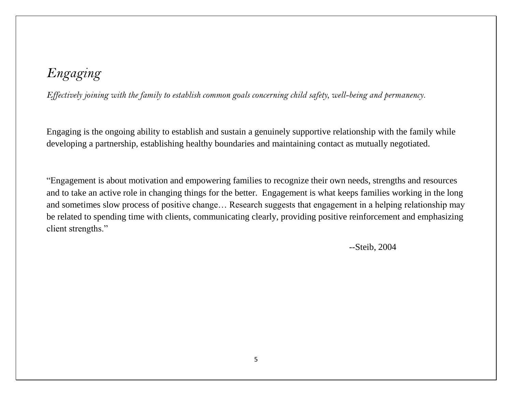*Effectively joining with the family to establish common goals concerning child safety, well-being and permanency.*

Engaging is the ongoing ability to establish and sustain a genuinely supportive relationship with the family while developing a partnership, establishing healthy boundaries and maintaining contact as mutually negotiated.

"Engagement is about motivation and empowering families to recognize their own needs, strengths and resources and to take an active role in changing things for the better. Engagement is what keeps families working in the long and sometimes slow process of positive change… Research suggests that engagement in a helping relationship may be related to spending time with clients, communicating clearly, providing positive reinforcement and emphasizing client strengths."

--Steib, 2004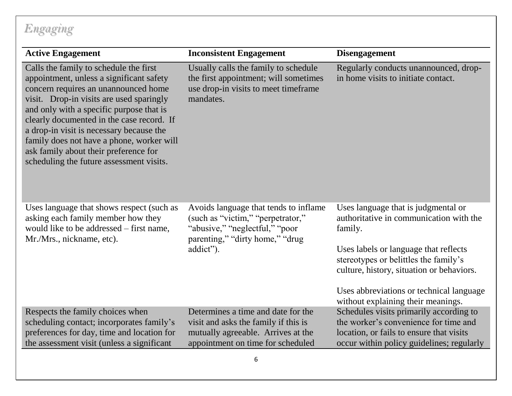| <b>Active Engagement</b>                                                                                                                                                                                                                                                                                                                                                                                                                      | <b>Inconsistent Engagement</b>                                                                                                                               | <b>Disengagement</b>                                                                                                                                                                                                                                                                                       |
|-----------------------------------------------------------------------------------------------------------------------------------------------------------------------------------------------------------------------------------------------------------------------------------------------------------------------------------------------------------------------------------------------------------------------------------------------|--------------------------------------------------------------------------------------------------------------------------------------------------------------|------------------------------------------------------------------------------------------------------------------------------------------------------------------------------------------------------------------------------------------------------------------------------------------------------------|
| Calls the family to schedule the first<br>appointment, unless a significant safety<br>concern requires an unannounced home<br>visit. Drop-in visits are used sparingly<br>and only with a specific purpose that is<br>clearly documented in the case record. If<br>a drop-in visit is necessary because the<br>family does not have a phone, worker will<br>ask family about their preference for<br>scheduling the future assessment visits. | Usually calls the family to schedule<br>the first appointment; will sometimes<br>use drop-in visits to meet timeframe<br>mandates.                           | Regularly conducts unannounced, drop-<br>in home visits to initiate contact.                                                                                                                                                                                                                               |
| Uses language that shows respect (such as<br>asking each family member how they<br>would like to be addressed – first name,<br>Mr./Mrs., nickname, etc).                                                                                                                                                                                                                                                                                      | Avoids language that tends to inflame<br>(such as "victim," "perpetrator,"<br>"abusive," "neglectful," "poor<br>parenting," "dirty home," "drug<br>addict"). | Uses language that is judgmental or<br>authoritative in communication with the<br>family.<br>Uses labels or language that reflects<br>stereotypes or belittles the family's<br>culture, history, situation or behaviors.<br>Uses abbreviations or technical language<br>without explaining their meanings. |
| Respects the family choices when<br>scheduling contact; incorporates family's<br>preferences for day, time and location for<br>the assessment visit (unless a significant                                                                                                                                                                                                                                                                     | Determines a time and date for the<br>visit and asks the family if this is<br>mutually agreeable. Arrives at the<br>appointment on time for scheduled        | Schedules visits primarily according to<br>the worker's convenience for time and<br>location, or fails to ensure that visits<br>occur within policy guidelines; regularly                                                                                                                                  |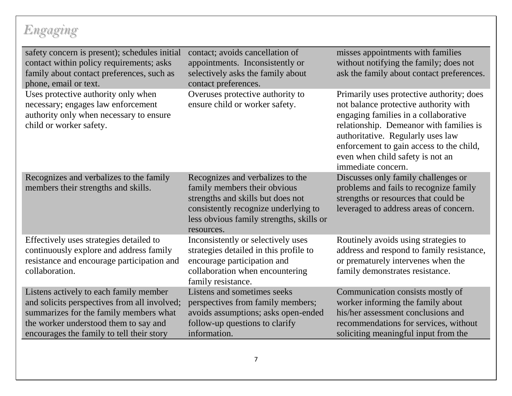| safety concern is present); schedules initial<br>contact within policy requirements; asks<br>family about contact preferences, such as<br>phone, email or text.                                                        | contact; avoids cancellation of<br>appointments. Inconsistently or<br>selectively asks the family about<br>contact preferences.                                                                         | misses appointments with families<br>without notifying the family; does not<br>ask the family about contact preferences.                                                                                                                                                                                         |
|------------------------------------------------------------------------------------------------------------------------------------------------------------------------------------------------------------------------|---------------------------------------------------------------------------------------------------------------------------------------------------------------------------------------------------------|------------------------------------------------------------------------------------------------------------------------------------------------------------------------------------------------------------------------------------------------------------------------------------------------------------------|
| Uses protective authority only when<br>necessary; engages law enforcement<br>authority only when necessary to ensure<br>child or worker safety.                                                                        | Overuses protective authority to<br>ensure child or worker safety.                                                                                                                                      | Primarily uses protective authority; does<br>not balance protective authority with<br>engaging families in a collaborative<br>relationship. Demeanor with families is<br>authoritative. Regularly uses law<br>enforcement to gain access to the child,<br>even when child safety is not an<br>immediate concern. |
| Recognizes and verbalizes to the family<br>members their strengths and skills.                                                                                                                                         | Recognizes and verbalizes to the<br>family members their obvious<br>strengths and skills but does not<br>consistently recognize underlying to<br>less obvious family strengths, skills or<br>resources. | Discusses only family challenges or<br>problems and fails to recognize family<br>strengths or resources that could be<br>leveraged to address areas of concern.                                                                                                                                                  |
| Effectively uses strategies detailed to<br>continuously explore and address family<br>resistance and encourage participation and<br>collaboration.                                                                     | Inconsistently or selectively uses<br>strategies detailed in this profile to<br>encourage participation and<br>collaboration when encountering<br>family resistance.                                    | Routinely avoids using strategies to<br>address and respond to family resistance,<br>or prematurely intervenes when the<br>family demonstrates resistance.                                                                                                                                                       |
| Listens actively to each family member<br>and solicits perspectives from all involved;<br>summarizes for the family members what<br>the worker understood them to say and<br>encourages the family to tell their story | Listens and sometimes seeks<br>perspectives from family members;<br>avoids assumptions; asks open-ended<br>follow-up questions to clarify<br>information.                                               | Communication consists mostly of<br>worker informing the family about<br>his/her assessment conclusions and<br>recommendations for services, without<br>soliciting meaningful input from the                                                                                                                     |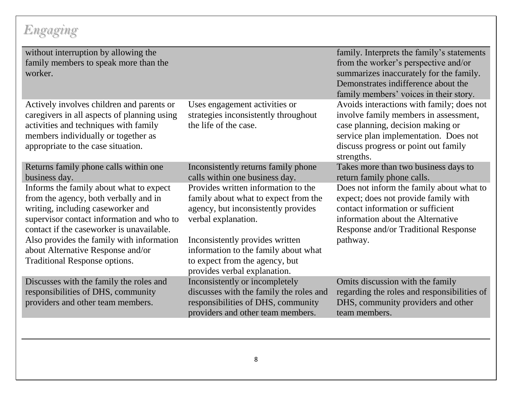| without interruption by allowing the<br>family members to speak more than the<br>worker.                                                                                                                                                                                                                                                  |                                                                                                                                                                                                                                                                                        | family. Interprets the family's statements<br>from the worker's perspective and/or<br>summarizes inaccurately for the family.<br>Demonstrates indifference about the<br>family members' voices in their story.         |
|-------------------------------------------------------------------------------------------------------------------------------------------------------------------------------------------------------------------------------------------------------------------------------------------------------------------------------------------|----------------------------------------------------------------------------------------------------------------------------------------------------------------------------------------------------------------------------------------------------------------------------------------|------------------------------------------------------------------------------------------------------------------------------------------------------------------------------------------------------------------------|
| Actively involves children and parents or<br>caregivers in all aspects of planning using<br>activities and techniques with family<br>members individually or together as<br>appropriate to the case situation.                                                                                                                            | Uses engagement activities or<br>strategies inconsistently throughout<br>the life of the case.                                                                                                                                                                                         | Avoids interactions with family; does not<br>involve family members in assessment,<br>case planning, decision making or<br>service plan implementation. Does not<br>discuss progress or point out family<br>strengths. |
| Returns family phone calls within one<br>business day.                                                                                                                                                                                                                                                                                    | Inconsistently returns family phone<br>calls within one business day.                                                                                                                                                                                                                  | Takes more than two business days to<br>return family phone calls.                                                                                                                                                     |
| Informs the family about what to expect<br>from the agency, both verbally and in<br>writing, including caseworker and<br>supervisor contact information and who to<br>contact if the caseworker is unavailable.<br>Also provides the family with information<br>about Alternative Response and/or<br><b>Traditional Response options.</b> | Provides written information to the<br>family about what to expect from the<br>agency, but inconsistently provides<br>verbal explanation.<br>Inconsistently provides written<br>information to the family about what<br>to expect from the agency, but<br>provides verbal explanation. | Does not inform the family about what to<br>expect; does not provide family with<br>contact information or sufficient<br>information about the Alternative<br>Response and/or Traditional Response<br>pathway.         |
| Discusses with the family the roles and<br>responsibilities of DHS, community<br>providers and other team members.                                                                                                                                                                                                                        | Inconsistently or incompletely<br>discusses with the family the roles and<br>responsibilities of DHS, community<br>providers and other team members.                                                                                                                                   | Omits discussion with the family<br>regarding the roles and responsibilities of<br>DHS, community providers and other<br>team members.                                                                                 |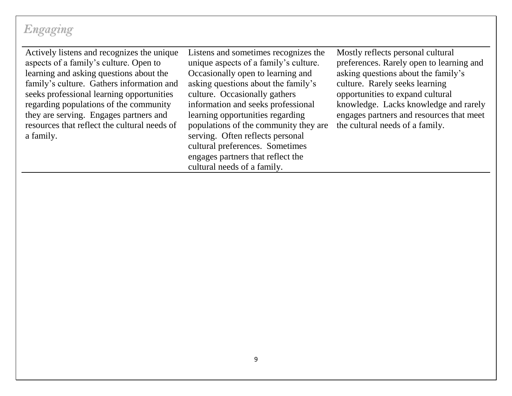Actively listens and recognizes the unique aspects of a family's culture. Open to learning and asking questions about the family's culture. Gathers information and seeks professional learning opportunities regarding populations of the community they are serving. Engages partners and resources that reflect the cultural needs of a family.

Listens and sometimes recognizes the unique aspects of a family's culture. Occasionally open to learning and asking questions about the family's culture. Occasionally gathers information and seeks professional learning opportunities regarding populations of the community they are serving. Often reflects personal cultural preferences. Sometimes engages partners that reflect the cultural needs of a family.

Mostly reflects personal cultural preferences. Rarely open to learning and asking questions about the family's culture. Rarely seeks learning opportunities to expand cultural knowledge. Lacks knowledge and rarely engages partners and resources that meet the cultural needs of a family.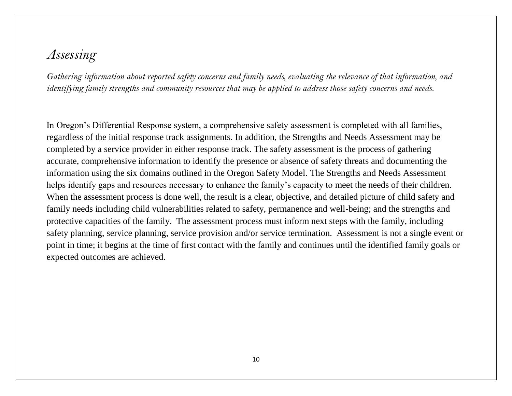### *Assessing*

*Gathering information about reported safety concerns and family needs, evaluating the relevance of that information, and identifying family strengths and community resources that may be applied to address those safety concerns and needs.*

In Oregon's Differential Response system, a comprehensive safety assessment is completed with all families, regardless of the initial response track assignments. In addition, the Strengths and Needs Assessment may be completed by a service provider in either response track. The safety assessment is the process of gathering accurate, comprehensive information to identify the presence or absence of safety threats and documenting the information using the six domains outlined in the Oregon Safety Model. The Strengths and Needs Assessment helps identify gaps and resources necessary to enhance the family's capacity to meet the needs of their children. When the assessment process is done well, the result is a clear, objective, and detailed picture of child safety and family needs including child vulnerabilities related to safety, permanence and well-being; and the strengths and protective capacities of the family. The assessment process must inform next steps with the family, including safety planning, service planning, service provision and/or service termination. Assessment is not a single event or point in time; it begins at the time of first contact with the family and continues until the identified family goals or expected outcomes are achieved.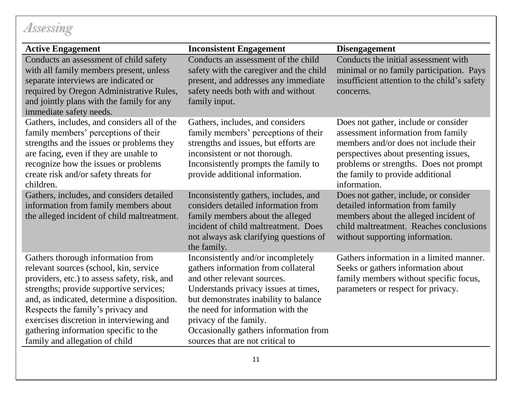## *Assessing*

| <b>Active Engagement</b>                                                                                                                                                                                                                                                                                                                                                          | <b>Inconsistent Engagement</b>                                                                                                                                                                                                                                                                                                        | <b>Disengagement</b>                                                                                                                                                                                                                                       |
|-----------------------------------------------------------------------------------------------------------------------------------------------------------------------------------------------------------------------------------------------------------------------------------------------------------------------------------------------------------------------------------|---------------------------------------------------------------------------------------------------------------------------------------------------------------------------------------------------------------------------------------------------------------------------------------------------------------------------------------|------------------------------------------------------------------------------------------------------------------------------------------------------------------------------------------------------------------------------------------------------------|
| Conducts an assessment of child safety<br>with all family members present, unless<br>separate interviews are indicated or<br>required by Oregon Administrative Rules,<br>and jointly plans with the family for any<br>immediate safety needs.                                                                                                                                     | Conducts an assessment of the child<br>safety with the caregiver and the child<br>present, and addresses any immediate<br>safety needs both with and without<br>family input.                                                                                                                                                         | Conducts the initial assessment with<br>minimal or no family participation. Pays<br>insufficient attention to the child's safety<br>concerns.                                                                                                              |
| Gathers, includes, and considers all of the<br>family members' perceptions of their<br>strengths and the issues or problems they<br>are facing, even if they are unable to<br>recognize how the issues or problems<br>create risk and/or safety threats for<br>children.                                                                                                          | Gathers, includes, and considers<br>family members' perceptions of their<br>strengths and issues, but efforts are<br>inconsistent or not thorough.<br>Inconsistently prompts the family to<br>provide additional information.                                                                                                         | Does not gather, include or consider<br>assessment information from family<br>members and/or does not include their<br>perspectives about presenting issues,<br>problems or strengths. Does not prompt<br>the family to provide additional<br>information. |
| Gathers, includes, and considers detailed<br>information from family members about<br>the alleged incident of child maltreatment.                                                                                                                                                                                                                                                 | Inconsistently gathers, includes, and<br>considers detailed information from<br>family members about the alleged<br>incident of child maltreatment. Does<br>not always ask clarifying questions of<br>the family.                                                                                                                     | Does not gather, include, or consider<br>detailed information from family<br>members about the alleged incident of<br>child maltreatment. Reaches conclusions<br>without supporting information.                                                           |
| Gathers thorough information from<br>relevant sources (school, kin, service<br>providers, etc.) to assess safety, risk, and<br>strengths; provide supportive services;<br>and, as indicated, determine a disposition.<br>Respects the family's privacy and<br>exercises discretion in interviewing and<br>gathering information specific to the<br>family and allegation of child | Inconsistently and/or incompletely<br>gathers information from collateral<br>and other relevant sources.<br>Understands privacy issues at times,<br>but demonstrates inability to balance<br>the need for information with the<br>privacy of the family.<br>Occasionally gathers information from<br>sources that are not critical to | Gathers information in a limited manner.<br>Seeks or gathers information about<br>family members without specific focus,<br>parameters or respect for privacy.                                                                                             |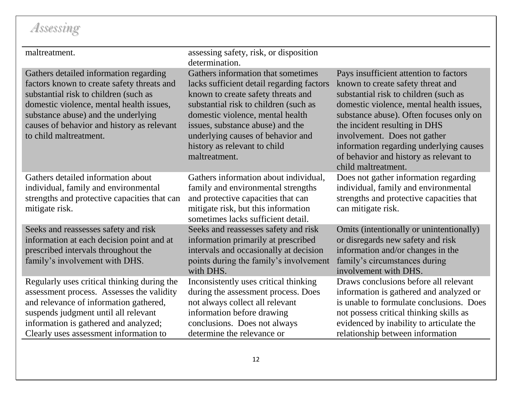# *Assessing*

| maltreatment.                                                                                                                                                                                                                                                                            | assessing safety, risk, or disposition<br>determination.                                                                                                                                                                                                                                                                     |                                                                                                                                                                                                                                                                                                                                                                                          |
|------------------------------------------------------------------------------------------------------------------------------------------------------------------------------------------------------------------------------------------------------------------------------------------|------------------------------------------------------------------------------------------------------------------------------------------------------------------------------------------------------------------------------------------------------------------------------------------------------------------------------|------------------------------------------------------------------------------------------------------------------------------------------------------------------------------------------------------------------------------------------------------------------------------------------------------------------------------------------------------------------------------------------|
| Gathers detailed information regarding<br>factors known to create safety threats and<br>substantial risk to children (such as<br>domestic violence, mental health issues,<br>substance abuse) and the underlying<br>causes of behavior and history as relevant<br>to child maltreatment. | Gathers information that sometimes<br>lacks sufficient detail regarding factors<br>known to create safety threats and<br>substantial risk to children (such as<br>domestic violence, mental health<br>issues, substance abuse) and the<br>underlying causes of behavior and<br>history as relevant to child<br>maltreatment. | Pays insufficient attention to factors<br>known to create safety threat and<br>substantial risk to children (such as<br>domestic violence, mental health issues,<br>substance abuse). Often focuses only on<br>the incident resulting in DHS<br>involvement. Does not gather<br>information regarding underlying causes<br>of behavior and history as relevant to<br>child maltreatment. |
| Gathers detailed information about<br>individual, family and environmental<br>strengths and protective capacities that can<br>mitigate risk.                                                                                                                                             | Gathers information about individual,<br>family and environmental strengths<br>and protective capacities that can<br>mitigate risk, but this information<br>sometimes lacks sufficient detail.                                                                                                                               | Does not gather information regarding<br>individual, family and environmental<br>strengths and protective capacities that<br>can mitigate risk.                                                                                                                                                                                                                                          |
| Seeks and reassesses safety and risk<br>information at each decision point and at<br>prescribed intervals throughout the<br>family's involvement with DHS.                                                                                                                               | Seeks and reassesses safety and risk<br>information primarily at prescribed<br>intervals and occasionally at decision<br>points during the family's involvement<br>with DHS.                                                                                                                                                 | Omits (intentionally or unintentionally)<br>or disregards new safety and risk<br>information and/or changes in the<br>family's circumstances during<br>involvement with DHS.                                                                                                                                                                                                             |
| Regularly uses critical thinking during the<br>assessment process. Assesses the validity<br>and relevance of information gathered,<br>suspends judgment until all relevant<br>information is gathered and analyzed;<br>Clearly uses assessment information to                            | Inconsistently uses critical thinking<br>during the assessment process. Does<br>not always collect all relevant<br>information before drawing<br>conclusions. Does not always<br>determine the relevance or                                                                                                                  | Draws conclusions before all relevant<br>information is gathered and analyzed or<br>is unable to formulate conclusions. Does<br>not possess critical thinking skills as<br>evidenced by inability to articulate the<br>relationship between information                                                                                                                                  |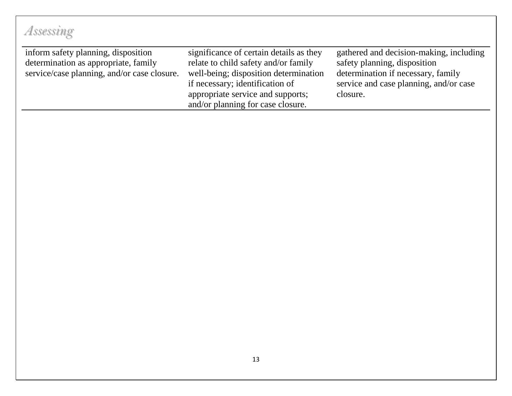#### inform safety planning, disposition determination as appropriate, family service/case planning, and/or case closure. significance of certain details as they relate to child safety and/or family well-being; disposition determination if necessary; identification of appropriate service and supports; and/or planning for case closure. gathered and decision-making, including safety planning, disposition determination if necessary, family service and case planning, and/or case closure. *Assessing*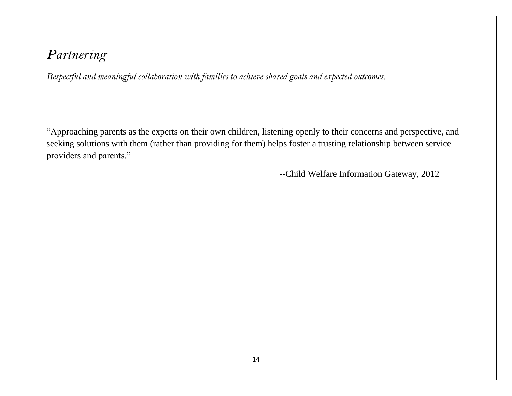*Respectful and meaningful collaboration with families to achieve shared goals and expected outcomes.* 

"Approaching parents as the experts on their own children, listening openly to their concerns and perspective, and seeking solutions with them (rather than providing for them) helps foster a trusting relationship between service providers and parents."

--Child Welfare Information Gateway, 2012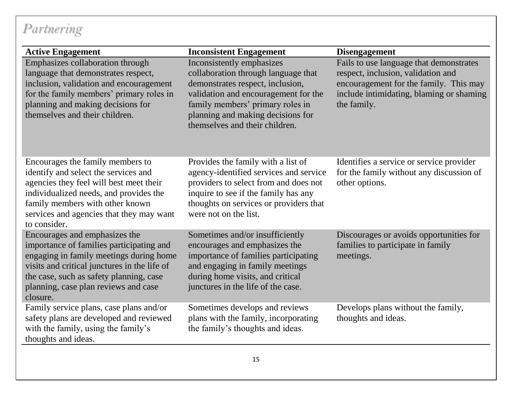| <b>Active Engagement</b>                                                                                                                                                                                                                                            | <b>Inconsistent Engagement</b>                                                                                                                                                                                                                          | <b>Disengagement</b>                                                                                                                                                               |
|---------------------------------------------------------------------------------------------------------------------------------------------------------------------------------------------------------------------------------------------------------------------|---------------------------------------------------------------------------------------------------------------------------------------------------------------------------------------------------------------------------------------------------------|------------------------------------------------------------------------------------------------------------------------------------------------------------------------------------|
| Emphasizes collaboration through<br>language that demonstrates respect,<br>inclusion, validation and encouragement<br>for the family members' primary roles in<br>planning and making decisions for<br>themselves and their children.                               | Inconsistently emphasizes<br>collaboration through language that<br>demonstrates respect, inclusion,<br>validation and encouragement for the<br>family members' primary roles in<br>planning and making decisions for<br>themselves and their children. | Fails to use language that demonstrates<br>respect, inclusion, validation and<br>encouragement for the family. This may<br>include intimidating, blaming or shaming<br>the family. |
| Encourages the family members to<br>identify and select the services and<br>agencies they feel will best meet their<br>individualized needs, and provides the<br>family members with other known<br>services and agencies that they may want<br>to consider.        | Provides the family with a list of<br>agency-identified services and service<br>providers to select from and does not<br>inquire to see if the family has any<br>thoughts on services or providers that<br>were not on the list.                        | Identifies a service or service provider<br>for the family without any discussion of<br>other options.                                                                             |
| Encourages and emphasizes the<br>importance of families participating and<br>engaging in family meetings during home<br>visits and critical junctures in the life of<br>the case, such as safety planning, case<br>planning, case plan reviews and case<br>closure. | Sometimes and/or insufficiently<br>encourages and emphasizes the<br>importance of families participating<br>and engaging in family meetings<br>during home visits, and critical<br>junctures in the life of the case.                                   | Discourages or avoids opportunities for<br>families to participate in family<br>meetings.                                                                                          |
| Family service plans, case plans and/or<br>safety plans are developed and reviewed<br>with the family, using the family's<br>thoughts and ideas.                                                                                                                    | Sometimes develops and reviews<br>plans with the family, incorporating<br>the family's thoughts and ideas.                                                                                                                                              | Develops plans without the family,<br>thoughts and ideas.                                                                                                                          |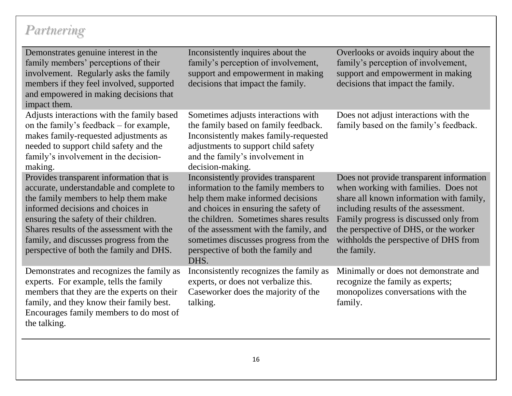| Demonstrates genuine interest in the<br>family members' perceptions of their<br>involvement. Regularly asks the family<br>members if they feel involved, supported<br>and empowered in making decisions that<br>impact them.                                                                                                                   | Inconsistently inquires about the<br>family's perception of involvement,<br>support and empowerment in making<br>decisions that impact the family.                                                                                                                                                                                   | Overlooks or avoids inquiry about the<br>family's perception of involvement,<br>support and empowerment in making<br>decisions that impact the family.                                                                                                                                                          |
|------------------------------------------------------------------------------------------------------------------------------------------------------------------------------------------------------------------------------------------------------------------------------------------------------------------------------------------------|--------------------------------------------------------------------------------------------------------------------------------------------------------------------------------------------------------------------------------------------------------------------------------------------------------------------------------------|-----------------------------------------------------------------------------------------------------------------------------------------------------------------------------------------------------------------------------------------------------------------------------------------------------------------|
| Adjusts interactions with the family based<br>on the family's feedback – for example,<br>makes family-requested adjustments as<br>needed to support child safety and the<br>family's involvement in the decision-<br>making.                                                                                                                   | Sometimes adjusts interactions with<br>the family based on family feedback.<br>Inconsistently makes family-requested<br>adjustments to support child safety<br>and the family's involvement in<br>decision-making.                                                                                                                   | Does not adjust interactions with the<br>family based on the family's feedback.                                                                                                                                                                                                                                 |
| Provides transparent information that is<br>accurate, understandable and complete to<br>the family members to help them make<br>informed decisions and choices in<br>ensuring the safety of their children.<br>Shares results of the assessment with the<br>family, and discusses progress from the<br>perspective of both the family and DHS. | Inconsistently provides transparent<br>information to the family members to<br>help them make informed decisions<br>and choices in ensuring the safety of<br>the children. Sometimes shares results<br>of the assessment with the family, and<br>sometimes discusses progress from the<br>perspective of both the family and<br>DHS. | Does not provide transparent information<br>when working with families. Does not<br>share all known information with family,<br>including results of the assessment.<br>Family progress is discussed only from<br>the perspective of DHS, or the worker<br>withholds the perspective of DHS from<br>the family. |
| Demonstrates and recognizes the family as<br>experts. For example, tells the family<br>members that they are the experts on their<br>family, and they know their family best.<br>Encourages family members to do most of<br>the talking.                                                                                                       | Inconsistently recognizes the family as<br>experts, or does not verbalize this.<br>Caseworker does the majority of the<br>talking.                                                                                                                                                                                                   | Minimally or does not demonstrate and<br>recognize the family as experts;<br>monopolizes conversations with the<br>family.                                                                                                                                                                                      |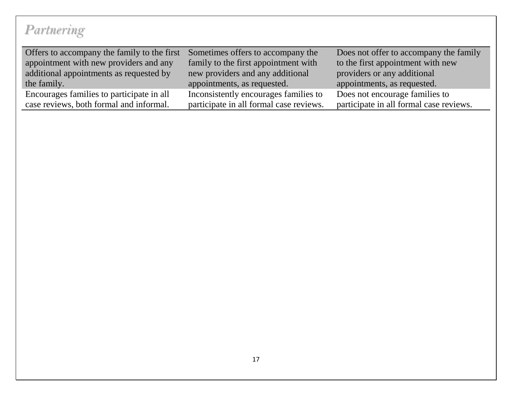| Offers to accompany the family to the first | Sometimes offers to accompany the       | Does not offer to accompany the family  |
|---------------------------------------------|-----------------------------------------|-----------------------------------------|
| appointment with new providers and any      | family to the first appointment with    | to the first appointment with new       |
| additional appointments as requested by     | new providers and any additional        | providers or any additional             |
| the family.                                 | appointments, as requested.             | appointments, as requested.             |
| Encourages families to participate in all   | Inconsistently encourages families to   | Does not encourage families to          |
| case reviews, both formal and informal.     | participate in all formal case reviews. | participate in all formal case reviews. |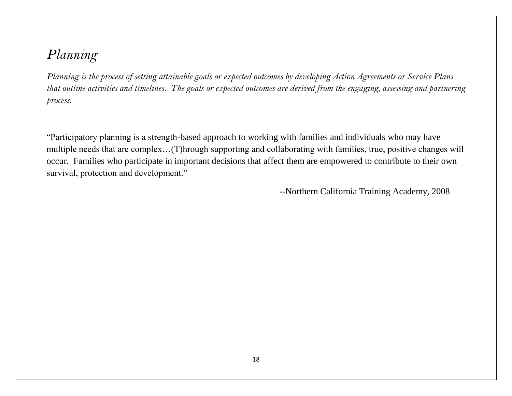*Planning is the process of setting attainable goals or expected outcomes by developing Action Agreements or Service Plans that outline activities and timelines. The goals or expected outcomes are derived from the engaging, assessing and partnering process.* 

"Participatory planning is a strength-based approach to working with families and individuals who may have multiple needs that are complex…(T)hrough supporting and collaborating with families, true, positive changes will occur. Families who participate in important decisions that affect them are empowered to contribute to their own survival, protection and development."

--Northern California Training Academy, 2008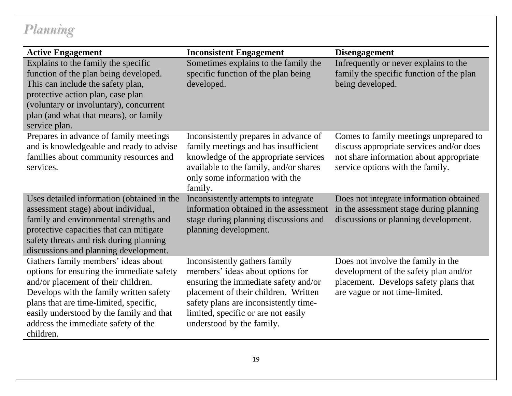| <b>Active Engagement</b>                                                                                                                                                                                                                                                                                     | <b>Inconsistent Engagement</b>                                                                                                                                                                                                                                 | <b>Disengagement</b>                                                                                                                                              |
|--------------------------------------------------------------------------------------------------------------------------------------------------------------------------------------------------------------------------------------------------------------------------------------------------------------|----------------------------------------------------------------------------------------------------------------------------------------------------------------------------------------------------------------------------------------------------------------|-------------------------------------------------------------------------------------------------------------------------------------------------------------------|
| Explains to the family the specific<br>function of the plan being developed.<br>This can include the safety plan,<br>protective action plan, case plan<br>(voluntary or involuntary), concurrent<br>plan (and what that means), or family<br>service plan.                                                   | Sometimes explains to the family the<br>specific function of the plan being<br>developed.                                                                                                                                                                      | Infrequently or never explains to the<br>family the specific function of the plan<br>being developed.                                                             |
| Prepares in advance of family meetings<br>and is knowledgeable and ready to advise<br>families about community resources and<br>services.                                                                                                                                                                    | Inconsistently prepares in advance of<br>family meetings and has insufficient<br>knowledge of the appropriate services<br>available to the family, and/or shares<br>only some information with the<br>family.                                                  | Comes to family meetings unprepared to<br>discuss appropriate services and/or does<br>not share information about appropriate<br>service options with the family. |
| Uses detailed information (obtained in the<br>assessment stage) about individual,<br>family and environmental strengths and<br>protective capacities that can mitigate<br>safety threats and risk during planning<br>discussions and planning development.                                                   | Inconsistently attempts to integrate<br>information obtained in the assessment<br>stage during planning discussions and<br>planning development.                                                                                                               | Does not integrate information obtained<br>in the assessment stage during planning<br>discussions or planning development.                                        |
| Gathers family members' ideas about<br>options for ensuring the immediate safety<br>and/or placement of their children.<br>Develops with the family written safety<br>plans that are time-limited, specific,<br>easily understood by the family and that<br>address the immediate safety of the<br>children. | Inconsistently gathers family<br>members' ideas about options for<br>ensuring the immediate safety and/or<br>placement of their children. Written<br>safety plans are inconsistently time-<br>limited, specific or are not easily<br>understood by the family. | Does not involve the family in the<br>development of the safety plan and/or<br>placement. Develops safety plans that<br>are vague or not time-limited.            |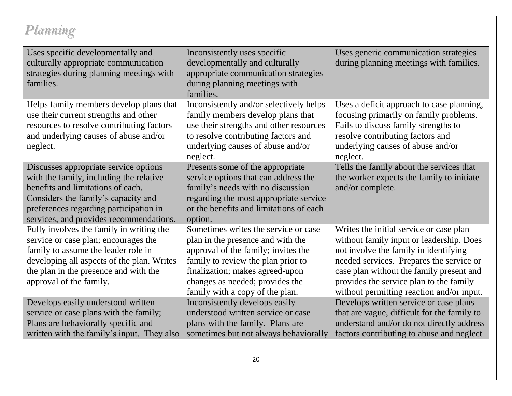| Uses specific developmentally and<br>culturally appropriate communication<br>strategies during planning meetings with<br>families.                                                                                                                | Inconsistently uses specific<br>developmentally and culturally<br>appropriate communication strategies<br>during planning meetings with<br>families.                                                                                                            | Uses generic communication strategies<br>during planning meetings with families.                                                                                                                                                                                                                             |
|---------------------------------------------------------------------------------------------------------------------------------------------------------------------------------------------------------------------------------------------------|-----------------------------------------------------------------------------------------------------------------------------------------------------------------------------------------------------------------------------------------------------------------|--------------------------------------------------------------------------------------------------------------------------------------------------------------------------------------------------------------------------------------------------------------------------------------------------------------|
| Helps family members develop plans that<br>use their current strengths and other<br>resources to resolve contributing factors<br>and underlying causes of abuse and/or<br>neglect.                                                                | Inconsistently and/or selectively helps<br>family members develop plans that<br>use their strengths and other resources<br>to resolve contributing factors and<br>underlying causes of abuse and/or<br>neglect.                                                 | Uses a deficit approach to case planning,<br>focusing primarily on family problems.<br>Fails to discuss family strengths to<br>resolve contributing factors and<br>underlying causes of abuse and/or<br>neglect.                                                                                             |
| Discusses appropriate service options<br>with the family, including the relative<br>benefits and limitations of each.<br>Considers the family's capacity and<br>preferences regarding participation in<br>services, and provides recommendations. | Presents some of the appropriate<br>service options that can address the<br>family's needs with no discussion<br>regarding the most appropriate service<br>or the benefits and limitations of each<br>option.                                                   | Tells the family about the services that<br>the worker expects the family to initiate<br>and/or complete.                                                                                                                                                                                                    |
| Fully involves the family in writing the<br>service or case plan; encourages the<br>family to assume the leader role in<br>developing all aspects of the plan. Writes<br>the plan in the presence and with the<br>approval of the family.         | Sometimes writes the service or case<br>plan in the presence and with the<br>approval of the family; invites the<br>family to review the plan prior to<br>finalization; makes agreed-upon<br>changes as needed; provides the<br>family with a copy of the plan. | Writes the initial service or case plan<br>without family input or leadership. Does<br>not involve the family in identifying<br>needed services. Prepares the service or<br>case plan without the family present and<br>provides the service plan to the family<br>without permitting reaction and/or input. |
| Develops easily understood written<br>service or case plans with the family;<br>Plans are behaviorally specific and<br>written with the family's input. They also                                                                                 | Inconsistently develops easily<br>understood written service or case<br>plans with the family. Plans are<br>sometimes but not always behaviorally                                                                                                               | Develops written service or case plans<br>that are vague, difficult for the family to<br>understand and/or do not directly address<br>factors contributing to abuse and neglect                                                                                                                              |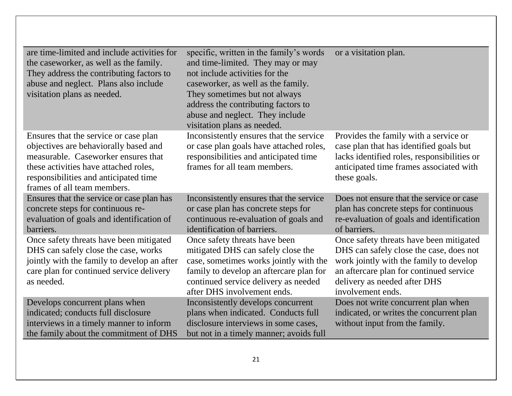| are time-limited and include activities for<br>the caseworker, as well as the family.<br>They address the contributing factors to<br>abuse and neglect. Plans also include<br>visitation plans as needed.                              | specific, written in the family's words<br>and time-limited. They may or may<br>not include activities for the<br>caseworker, as well as the family.<br>They sometimes but not always<br>address the contributing factors to<br>abuse and neglect. They include<br>visitation plans as needed. | or a visitation plan.                                                                                                                                                                                                         |
|----------------------------------------------------------------------------------------------------------------------------------------------------------------------------------------------------------------------------------------|------------------------------------------------------------------------------------------------------------------------------------------------------------------------------------------------------------------------------------------------------------------------------------------------|-------------------------------------------------------------------------------------------------------------------------------------------------------------------------------------------------------------------------------|
| Ensures that the service or case plan<br>objectives are behaviorally based and<br>measurable. Caseworker ensures that<br>these activities have attached roles,<br>responsibilities and anticipated time<br>frames of all team members. | Inconsistently ensures that the service<br>or case plan goals have attached roles,<br>responsibilities and anticipated time<br>frames for all team members.                                                                                                                                    | Provides the family with a service or<br>case plan that has identified goals but<br>lacks identified roles, responsibilities or<br>anticipated time frames associated with<br>these goals.                                    |
| Ensures that the service or case plan has<br>concrete steps for continuous re-<br>evaluation of goals and identification of<br>barriers.                                                                                               | Inconsistently ensures that the service<br>or case plan has concrete steps for<br>continuous re-evaluation of goals and<br>identification of barriers.                                                                                                                                         | Does not ensure that the service or case<br>plan has concrete steps for continuous<br>re-evaluation of goals and identification<br>of barriers.                                                                               |
| Once safety threats have been mitigated<br>DHS can safely close the case, works<br>jointly with the family to develop an after<br>care plan for continued service delivery<br>as needed.                                               | Once safety threats have been<br>mitigated DHS can safely close the<br>case, sometimes works jointly with the<br>family to develop an aftercare plan for<br>continued service delivery as needed<br>after DHS involvement ends.                                                                | Once safety threats have been mitigated<br>DHS can safely close the case, does not<br>work jointly with the family to develop<br>an aftercare plan for continued service<br>delivery as needed after DHS<br>involvement ends. |
| Develops concurrent plans when<br>indicated; conducts full disclosure<br>interviews in a timely manner to inform<br>the family about the commitment of DHS                                                                             | Inconsistently develops concurrent<br>plans when indicated. Conducts full<br>disclosure interviews in some cases,<br>but not in a timely manner; avoids full                                                                                                                                   | Does not write concurrent plan when<br>indicated, or writes the concurrent plan<br>without input from the family.                                                                                                             |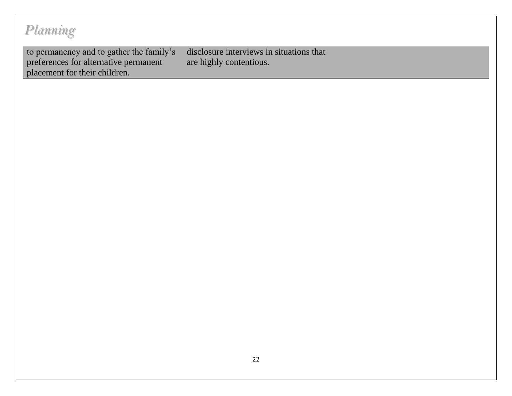to permanency and to gather the family's preferences for alternative permanent placement for their children. disclosure interviews in situations that are highly contentious.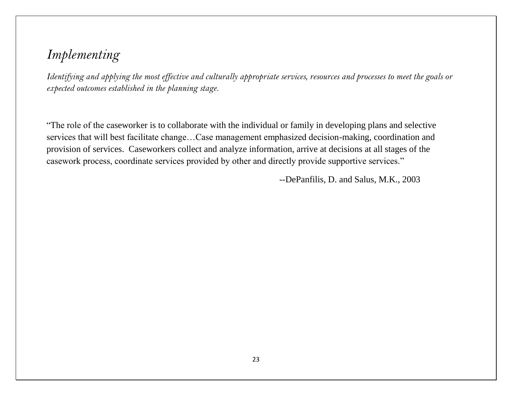### *Implementing*

*Identifying and applying the most effective and culturally appropriate services, resources and processes to meet the goals or expected outcomes established in the planning stage.*

"The role of the caseworker is to collaborate with the individual or family in developing plans and selective services that will best facilitate change…Case management emphasized decision-making, coordination and provision of services. Caseworkers collect and analyze information, arrive at decisions at all stages of the casework process, coordinate services provided by other and directly provide supportive services."

--DePanfilis, D. and Salus, M.K., 2003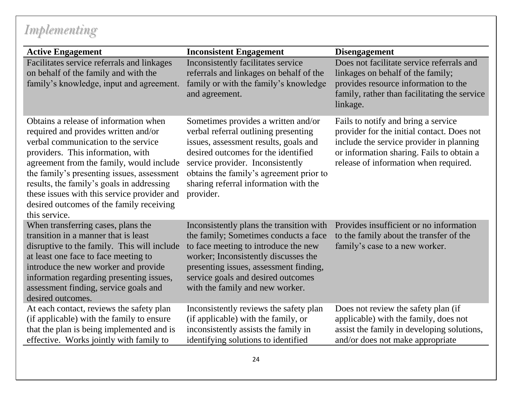# *Implementing*

| <b>Active Engagement</b>                                                                                                                                                                                                                                                                                                                                                                                     | <b>Inconsistent Engagement</b>                                                                                                                                                                                                                                                                   | <b>Disengagement</b>                                                                                                                                                                                                |
|--------------------------------------------------------------------------------------------------------------------------------------------------------------------------------------------------------------------------------------------------------------------------------------------------------------------------------------------------------------------------------------------------------------|--------------------------------------------------------------------------------------------------------------------------------------------------------------------------------------------------------------------------------------------------------------------------------------------------|---------------------------------------------------------------------------------------------------------------------------------------------------------------------------------------------------------------------|
| Facilitates service referrals and linkages<br>on behalf of the family and with the<br>family's knowledge, input and agreement.                                                                                                                                                                                                                                                                               | Inconsistently facilitates service<br>referrals and linkages on behalf of the<br>family or with the family's knowledge<br>and agreement.                                                                                                                                                         | Does not facilitate service referrals and<br>linkages on behalf of the family;<br>provides resource information to the<br>family, rather than facilitating the service<br>linkage.                                  |
| Obtains a release of information when<br>required and provides written and/or<br>verbal communication to the service<br>providers. This information, with<br>agreement from the family, would include<br>the family's presenting issues, assessment<br>results, the family's goals in addressing<br>these issues with this service provider and<br>desired outcomes of the family receiving<br>this service. | Sometimes provides a written and/or<br>verbal referral outlining presenting<br>issues, assessment results, goals and<br>desired outcomes for the identified<br>service provider. Inconsistently<br>obtains the family's agreement prior to<br>sharing referral information with the<br>provider. | Fails to notify and bring a service<br>provider for the initial contact. Does not<br>include the service provider in planning<br>or information sharing. Fails to obtain a<br>release of information when required. |
| When transferring cases, plans the<br>transition in a manner that is least<br>disruptive to the family. This will include<br>at least one face to face meeting to<br>introduce the new worker and provide<br>information regarding presenting issues,<br>assessment finding, service goals and<br>desired outcomes.                                                                                          | Inconsistently plans the transition with<br>the family; Sometimes conducts a face<br>to face meeting to introduce the new<br>worker; Inconsistently discusses the<br>presenting issues, assessment finding,<br>service goals and desired outcomes<br>with the family and new worker.             | Provides insufficient or no information<br>to the family about the transfer of the<br>family's case to a new worker.                                                                                                |
| At each contact, reviews the safety plan<br>(if applicable) with the family to ensure<br>that the plan is being implemented and is<br>effective. Works jointly with family to                                                                                                                                                                                                                                | Inconsistently reviews the safety plan<br>(if applicable) with the family, or<br>inconsistently assists the family in<br>identifying solutions to identified                                                                                                                                     | Does not review the safety plan (if<br>applicable) with the family, does not<br>assist the family in developing solutions,<br>and/or does not make appropriate                                                      |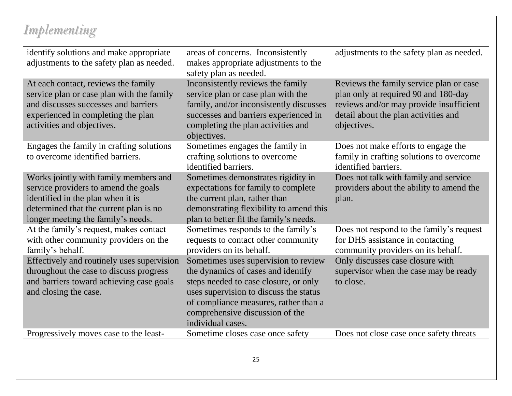## *Implementing*

| identify solutions and make appropriate<br>adjustments to the safety plan as needed.                                                                                                               | areas of concerns. Inconsistently<br>makes appropriate adjustments to the<br>safety plan as needed.                                                                                                                                                            | adjustments to the safety plan as needed.                                                                                                                                         |
|----------------------------------------------------------------------------------------------------------------------------------------------------------------------------------------------------|----------------------------------------------------------------------------------------------------------------------------------------------------------------------------------------------------------------------------------------------------------------|-----------------------------------------------------------------------------------------------------------------------------------------------------------------------------------|
| At each contact, reviews the family<br>service plan or case plan with the family<br>and discusses successes and barriers<br>experienced in completing the plan<br>activities and objectives.       | Inconsistently reviews the family<br>service plan or case plan with the<br>family, and/or inconsistently discusses<br>successes and barriers experienced in<br>completing the plan activities and<br>objectives.                                               | Reviews the family service plan or case<br>plan only at required 90 and 180-day<br>reviews and/or may provide insufficient<br>detail about the plan activities and<br>objectives. |
| Engages the family in crafting solutions<br>to overcome identified barriers.                                                                                                                       | Sometimes engages the family in<br>crafting solutions to overcome<br>identified barriers.                                                                                                                                                                      | Does not make efforts to engage the<br>family in crafting solutions to overcome<br>identified barriers.                                                                           |
| Works jointly with family members and<br>service providers to amend the goals<br>identified in the plan when it is<br>determined that the current plan is no<br>longer meeting the family's needs. | Sometimes demonstrates rigidity in<br>expectations for family to complete<br>the current plan, rather than<br>demonstrating flexibility to amend this<br>plan to better fit the family's needs.                                                                | Does not talk with family and service<br>providers about the ability to amend the<br>plan.                                                                                        |
| At the family's request, makes contact<br>with other community providers on the<br>family's behalf.                                                                                                | Sometimes responds to the family's<br>requests to contact other community<br>providers on its behalf.                                                                                                                                                          | Does not respond to the family's request<br>for DHS assistance in contacting<br>community providers on its behalf.                                                                |
| Effectively and routinely uses supervision<br>throughout the case to discuss progress<br>and barriers toward achieving case goals<br>and closing the case.                                         | Sometimes uses supervision to review<br>the dynamics of cases and identify<br>steps needed to case closure, or only<br>uses supervision to discuss the status<br>of compliance measures, rather than a<br>comprehensive discussion of the<br>individual cases. | Only discusses case closure with<br>supervisor when the case may be ready<br>to close.                                                                                            |
| Progressively moves case to the least-                                                                                                                                                             | Sometime closes case once safety                                                                                                                                                                                                                               | Does not close case once safety threats                                                                                                                                           |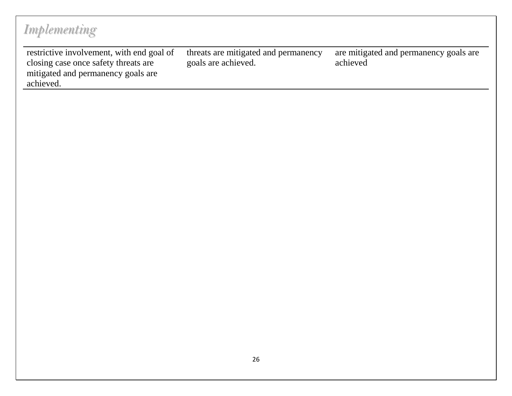| Implementing                                                                                                                         |                                                             |                                                    |
|--------------------------------------------------------------------------------------------------------------------------------------|-------------------------------------------------------------|----------------------------------------------------|
| restrictive involvement, with end goal of<br>closing case once safety threats are<br>mitigated and permanency goals are<br>achieved. | threats are mitigated and permanency<br>goals are achieved. | are mitigated and permanency goals are<br>achieved |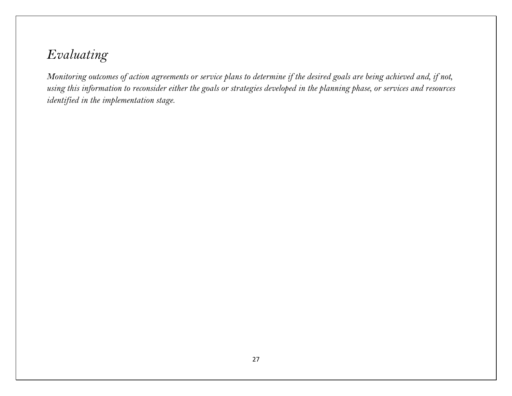### *Evaluating*

*Monitoring outcomes of action agreements or service plans to determine if the desired goals are being achieved and, if not, using this information to reconsider either the goals or strategies developed in the planning phase, or services and resources identified in the implementation stage.*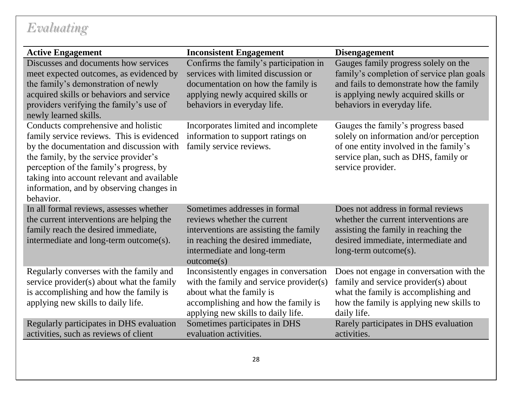### *Evaluating*

| <b>Active Engagement</b>                                                                                                                                                                                                                                                                                                | <b>Inconsistent Engagement</b>                                                                                                                                                             | <b>Disengagement</b>                                                                                                                                                                                |
|-------------------------------------------------------------------------------------------------------------------------------------------------------------------------------------------------------------------------------------------------------------------------------------------------------------------------|--------------------------------------------------------------------------------------------------------------------------------------------------------------------------------------------|-----------------------------------------------------------------------------------------------------------------------------------------------------------------------------------------------------|
| Discusses and documents how services<br>meet expected outcomes, as evidenced by<br>the family's demonstration of newly<br>acquired skills or behaviors and service<br>providers verifying the family's use of<br>newly learned skills.                                                                                  | Confirms the family's participation in<br>services with limited discussion or<br>documentation on how the family is<br>applying newly acquired skills or<br>behaviors in everyday life.    | Gauges family progress solely on the<br>family's completion of service plan goals<br>and fails to demonstrate how the family<br>is applying newly acquired skills or<br>behaviors in everyday life. |
| Conducts comprehensive and holistic<br>family service reviews. This is evidenced<br>by the documentation and discussion with<br>the family, by the service provider's<br>perception of the family's progress, by<br>taking into account relevant and available<br>information, and by observing changes in<br>behavior. | Incorporates limited and incomplete<br>information to support ratings on<br>family service reviews.                                                                                        | Gauges the family's progress based<br>solely on information and/or perception<br>of one entity involved in the family's<br>service plan, such as DHS, family or<br>service provider.                |
| In all formal reviews, assesses whether<br>the current interventions are helping the<br>family reach the desired immediate,<br>intermediate and long-term outcome(s).                                                                                                                                                   | Sometimes addresses in formal<br>reviews whether the current<br>interventions are assisting the family<br>in reaching the desired immediate,<br>intermediate and long-term<br>outcome(s)   | Does not address in formal reviews<br>whether the current interventions are<br>assisting the family in reaching the<br>desired immediate, intermediate and<br>long-term outcome(s).                 |
| Regularly converses with the family and<br>service provider(s) about what the family<br>is accomplishing and how the family is<br>applying new skills to daily life.                                                                                                                                                    | Inconsistently engages in conversation<br>with the family and service provider(s)<br>about what the family is<br>accomplishing and how the family is<br>applying new skills to daily life. | Does not engage in conversation with the<br>family and service provider(s) about<br>what the family is accomplishing and<br>how the family is applying new skills to<br>daily life.                 |
| Regularly participates in DHS evaluation<br>activities, such as reviews of client                                                                                                                                                                                                                                       | Sometimes participates in DHS<br>evaluation activities.                                                                                                                                    | Rarely participates in DHS evaluation<br>activities.                                                                                                                                                |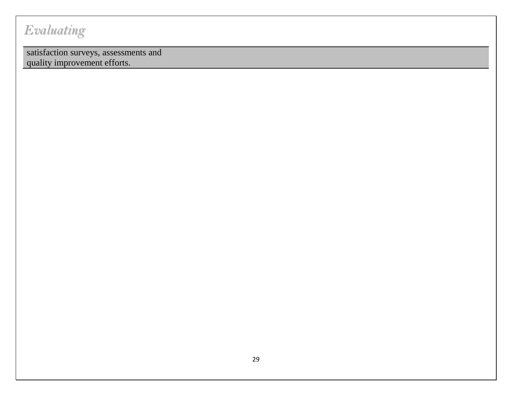## *Evaluating*

satisfaction surveys, assessments and quality improvement efforts.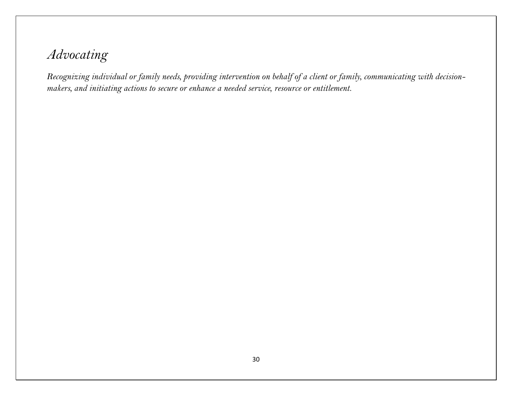### *Advocating*

*Recognizing individual or family needs, providing intervention on behalf of a client or family, communicating with decisionmakers, and initiating actions to secure or enhance a needed service, resource or entitlement.*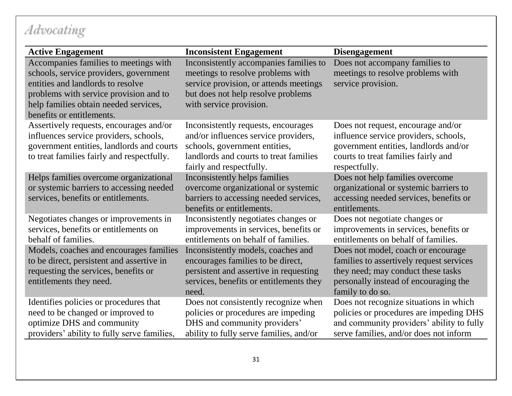# *Advocating*

| <b>Active Engagement</b>                                                                                                                                                                                                             | <b>Inconsistent Engagement</b>                                                                                                                                                         | <b>Disengagement</b>                                                                                                                                                              |
|--------------------------------------------------------------------------------------------------------------------------------------------------------------------------------------------------------------------------------------|----------------------------------------------------------------------------------------------------------------------------------------------------------------------------------------|-----------------------------------------------------------------------------------------------------------------------------------------------------------------------------------|
| Accompanies families to meetings with<br>schools, service providers, government<br>entities and landlords to resolve<br>problems with service provision and to<br>help families obtain needed services,<br>benefits or entitlements. | Inconsistently accompanies families to<br>meetings to resolve problems with<br>service provision, or attends meetings<br>but does not help resolve problems<br>with service provision. | Does not accompany families to<br>meetings to resolve problems with<br>service provision.                                                                                         |
| Assertively requests, encourages and/or<br>influences service providers, schools,<br>government entities, landlords and courts<br>to treat families fairly and respectfully.                                                         | Inconsistently requests, encourages<br>and/or influences service providers,<br>schools, government entities,<br>landlords and courts to treat families<br>fairly and respectfully.     | Does not request, encourage and/or<br>influence service providers, schools,<br>government entities, landlords and/or<br>courts to treat families fairly and<br>respectfully.      |
| Helps families overcome organizational<br>or systemic barriers to accessing needed<br>services, benefits or entitlements.                                                                                                            | Inconsistently helps families<br>overcome organizational or systemic<br>barriers to accessing needed services,<br>benefits or entitlements.                                            | Does not help families overcome<br>organizational or systemic barriers to<br>accessing needed services, benefits or<br>entitlements.                                              |
| Negotiates changes or improvements in<br>services, benefits or entitlements on<br>behalf of families.                                                                                                                                | Inconsistently negotiates changes or<br>improvements in services, benefits or<br>entitlements on behalf of families.                                                                   | Does not negotiate changes or<br>improvements in services, benefits or<br>entitlements on behalf of families.                                                                     |
| Models, coaches and encourages families<br>to be direct, persistent and assertive in<br>requesting the services, benefits or<br>entitlements they need.                                                                              | Inconsistently models, coaches and<br>encourages families to be direct,<br>persistent and assertive in requesting<br>services, benefits or entitlements they<br>need.                  | Does not model, coach or encourage<br>families to assertively request services<br>they need; may conduct these tasks<br>personally instead of encouraging the<br>family to do so. |
| Identifies policies or procedures that<br>need to be changed or improved to<br>optimize DHS and community<br>providers' ability to fully serve families,                                                                             | Does not consistently recognize when<br>policies or procedures are impeding<br>DHS and community providers'<br>ability to fully serve families, and/or                                 | Does not recognize situations in which<br>policies or procedures are impeding DHS<br>and community providers' ability to fully<br>serve families, and/or does not inform          |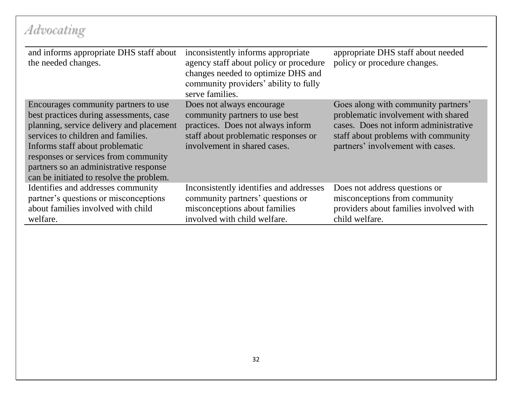# *Advocating*

| and informs appropriate DHS staff about<br>the needed changes.                                                                                                                                                                                                                                                                     | inconsistently informs appropriate<br>agency staff about policy or procedure<br>changes needed to optimize DHS and<br>community providers' ability to fully<br>serve families. | appropriate DHS staff about needed<br>policy or procedure changes.                                                                                                                              |
|------------------------------------------------------------------------------------------------------------------------------------------------------------------------------------------------------------------------------------------------------------------------------------------------------------------------------------|--------------------------------------------------------------------------------------------------------------------------------------------------------------------------------|-------------------------------------------------------------------------------------------------------------------------------------------------------------------------------------------------|
| Encourages community partners to use<br>best practices during assessments, case<br>planning, service delivery and placement<br>services to children and families.<br>Informs staff about problematic<br>responses or services from community<br>partners so an administrative response<br>can be initiated to resolve the problem. | Does not always encourage<br>community partners to use best<br>practices. Does not always inform<br>staff about problematic responses or<br>involvement in shared cases.       | Goes along with community partners'<br>problematic involvement with shared<br>cases. Does not inform administrative<br>staff about problems with community<br>partners' involvement with cases. |
| Identifies and addresses community<br>partner's questions or misconceptions<br>about families involved with child<br>welfare.                                                                                                                                                                                                      | Inconsistently identifies and addresses<br>community partners' questions or<br>misconceptions about families<br>involved with child welfare.                                   | Does not address questions or<br>misconceptions from community<br>providers about families involved with<br>child welfare.                                                                      |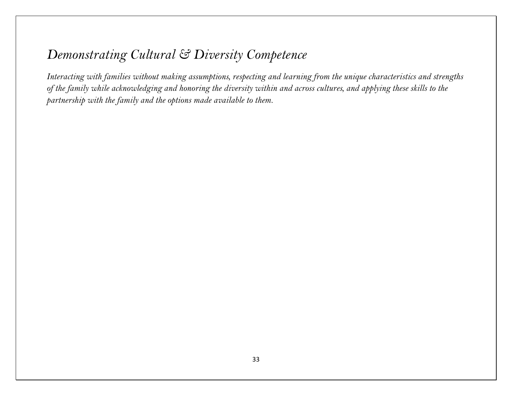*Interacting with families without making assumptions, respecting and learning from the unique characteristics and strengths of the family while acknowledging and honoring the diversity within and across cultures, and applying these skills to the partnership with the family and the options made available to them.*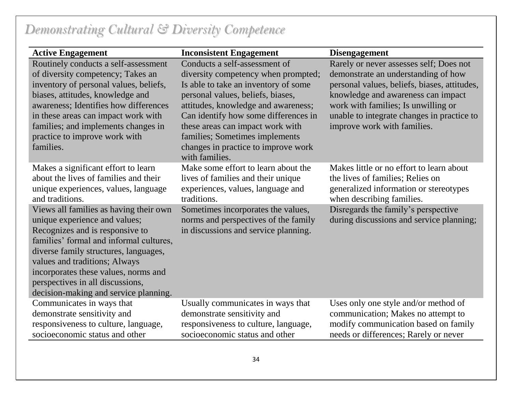| <b>Active Engagement</b>                                                                                                                                                                                                                                                                                                                             | <b>Inconsistent Engagement</b>                                                                                                                                                                                                                                                                                                                                  | <b>Disengagement</b>                                                                                                                                                                                                                                                                     |
|------------------------------------------------------------------------------------------------------------------------------------------------------------------------------------------------------------------------------------------------------------------------------------------------------------------------------------------------------|-----------------------------------------------------------------------------------------------------------------------------------------------------------------------------------------------------------------------------------------------------------------------------------------------------------------------------------------------------------------|------------------------------------------------------------------------------------------------------------------------------------------------------------------------------------------------------------------------------------------------------------------------------------------|
| Routinely conducts a self-assessment<br>of diversity competency; Takes an<br>inventory of personal values, beliefs,<br>biases, attitudes, knowledge and<br>awareness; Identifies how differences<br>in these areas can impact work with<br>families; and implements changes in<br>practice to improve work with<br>families.                         | Conducts a self-assessment of<br>diversity competency when prompted;<br>Is able to take an inventory of some<br>personal values, beliefs, biases,<br>attitudes, knowledge and awareness;<br>Can identify how some differences in<br>these areas can impact work with<br>families; Sometimes implements<br>changes in practice to improve work<br>with families. | Rarely or never assesses self; Does not<br>demonstrate an understanding of how<br>personal values, beliefs, biases, attitudes,<br>knowledge and awareness can impact<br>work with families; Is unwilling or<br>unable to integrate changes in practice to<br>improve work with families. |
| Makes a significant effort to learn<br>about the lives of families and their<br>unique experiences, values, language<br>and traditions.                                                                                                                                                                                                              | Make some effort to learn about the<br>lives of families and their unique<br>experiences, values, language and<br>traditions.                                                                                                                                                                                                                                   | Makes little or no effort to learn about<br>the lives of families; Relies on<br>generalized information or stereotypes<br>when describing families.                                                                                                                                      |
| Views all families as having their own<br>unique experience and values;<br>Recognizes and is responsive to<br>families' formal and informal cultures,<br>diverse family structures, languages,<br>values and traditions; Always<br>incorporates these values, norms and<br>perspectives in all discussions,<br>decision-making and service planning. | Sometimes incorporates the values,<br>norms and perspectives of the family<br>in discussions and service planning.                                                                                                                                                                                                                                              | Disregards the family's perspective<br>during discussions and service planning;                                                                                                                                                                                                          |
| Communicates in ways that<br>demonstrate sensitivity and<br>responsiveness to culture, language,<br>socioeconomic status and other                                                                                                                                                                                                                   | Usually communicates in ways that<br>demonstrate sensitivity and<br>responsiveness to culture, language,<br>socioeconomic status and other                                                                                                                                                                                                                      | Uses only one style and/or method of<br>communication; Makes no attempt to<br>modify communication based on family<br>needs or differences; Rarely or never                                                                                                                              |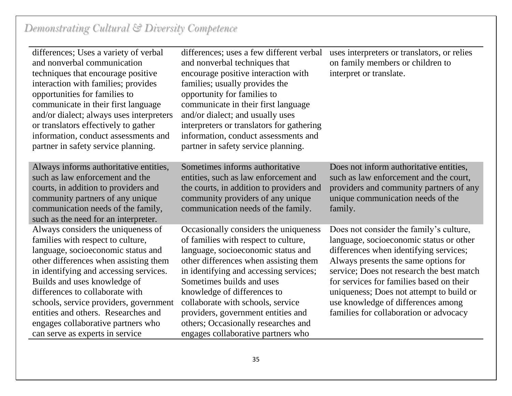| differences; Uses a variety of verbal<br>and nonverbal communication<br>techniques that encourage positive<br>interaction with families; provides<br>opportunities for families to<br>communicate in their first language<br>and/or dialect; always uses interpreters<br>or translators effectively to gather<br>information, conduct assessments and<br>partner in safety service planning.                                  | differences; uses a few different verbal<br>and nonverbal techniques that<br>encourage positive interaction with<br>families; usually provides the<br>opportunity for families to<br>communicate in their first language<br>and/or dialect; and usually uses<br>interpreters or translators for gathering<br>information, conduct assessments and<br>partner in safety service planning.                                   | uses interpreters or translators, or relies<br>on family members or children to<br>interpret or translate.                                                                                                                                                                                                                                                                                |
|-------------------------------------------------------------------------------------------------------------------------------------------------------------------------------------------------------------------------------------------------------------------------------------------------------------------------------------------------------------------------------------------------------------------------------|----------------------------------------------------------------------------------------------------------------------------------------------------------------------------------------------------------------------------------------------------------------------------------------------------------------------------------------------------------------------------------------------------------------------------|-------------------------------------------------------------------------------------------------------------------------------------------------------------------------------------------------------------------------------------------------------------------------------------------------------------------------------------------------------------------------------------------|
| Always informs authoritative entities,<br>such as law enforcement and the<br>courts, in addition to providers and<br>community partners of any unique<br>communication needs of the family,<br>such as the need for an interpreter.                                                                                                                                                                                           | Sometimes informs authoritative<br>entities, such as law enforcement and<br>the courts, in addition to providers and<br>community providers of any unique<br>communication needs of the family.                                                                                                                                                                                                                            | Does not inform authoritative entities,<br>such as law enforcement and the court,<br>providers and community partners of any<br>unique communication needs of the<br>family.                                                                                                                                                                                                              |
| Always considers the uniqueness of<br>families with respect to culture,<br>language, socioeconomic status and<br>other differences when assisting them<br>in identifying and accessing services.<br>Builds and uses knowledge of<br>differences to collaborate with<br>schools, service providers, government<br>entities and others. Researches and<br>engages collaborative partners who<br>can serve as experts in service | Occasionally considers the uniqueness<br>of families with respect to culture,<br>language, socioeconomic status and<br>other differences when assisting them<br>in identifying and accessing services;<br>Sometimes builds and uses<br>knowledge of differences to<br>collaborate with schools, service<br>providers, government entities and<br>others; Occasionally researches and<br>engages collaborative partners who | Does not consider the family's culture,<br>language, socioeconomic status or other<br>differences when identifying services;<br>Always presents the same options for<br>service; Does not research the best match<br>for services for families based on their<br>uniqueness; Does not attempt to build or<br>use knowledge of differences among<br>families for collaboration or advocacy |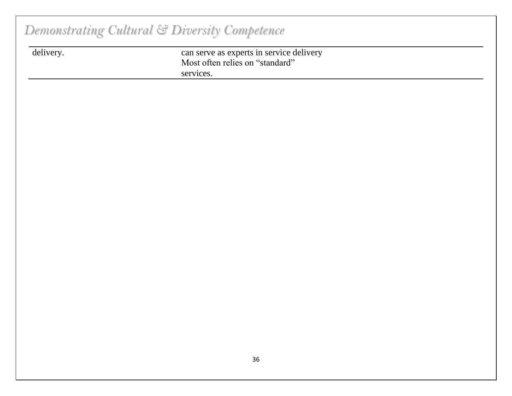| delivery. | can serve as experts in service delivery |  |
|-----------|------------------------------------------|--|
|           | Most often relies on "standard"          |  |
|           | services.                                |  |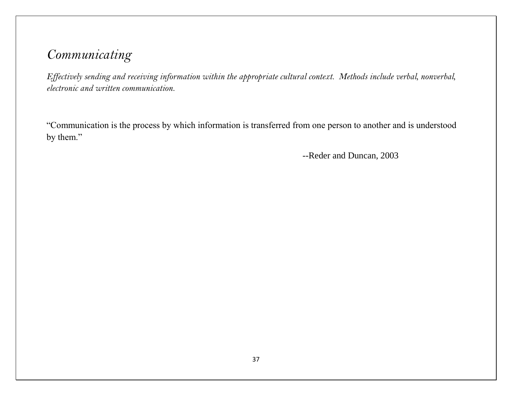*Effectively sending and receiving information within the appropriate cultural context. Methods include verbal, nonverbal, electronic and written communication.*

"Communication is the process by which information is transferred from one person to another and is understood by them."

--Reder and Duncan, 2003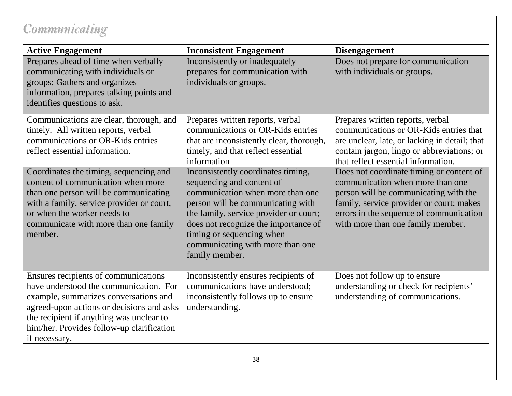| <b>Active Engagement</b>                                                                                                                                                                                                                                                       | <b>Inconsistent Engagement</b>                                                                                                                                                                                                                                                                                | <b>Disengagement</b>                                                                                                                                                                                                                              |
|--------------------------------------------------------------------------------------------------------------------------------------------------------------------------------------------------------------------------------------------------------------------------------|---------------------------------------------------------------------------------------------------------------------------------------------------------------------------------------------------------------------------------------------------------------------------------------------------------------|---------------------------------------------------------------------------------------------------------------------------------------------------------------------------------------------------------------------------------------------------|
| Prepares ahead of time when verbally<br>communicating with individuals or<br>groups; Gathers and organizes<br>information, prepares talking points and<br>identifies questions to ask.                                                                                         | Inconsistently or inadequately<br>prepares for communication with<br>individuals or groups.                                                                                                                                                                                                                   | Does not prepare for communication<br>with individuals or groups.                                                                                                                                                                                 |
| Communications are clear, thorough, and<br>timely. All written reports, verbal<br>communications or OR-Kids entries<br>reflect essential information.                                                                                                                          | Prepares written reports, verbal<br>communications or OR-Kids entries<br>that are inconsistently clear, thorough,<br>timely, and that reflect essential<br>information                                                                                                                                        | Prepares written reports, verbal<br>communications or OR-Kids entries that<br>are unclear, late, or lacking in detail; that<br>contain jargon, lingo or abbreviations; or<br>that reflect essential information.                                  |
| Coordinates the timing, sequencing and<br>content of communication when more<br>than one person will be communicating<br>with a family, service provider or court,<br>or when the worker needs to<br>communicate with more than one family<br>member.                          | Inconsistently coordinates timing,<br>sequencing and content of<br>communication when more than one<br>person will be communicating with<br>the family, service provider or court;<br>does not recognize the importance of<br>timing or sequencing when<br>communicating with more than one<br>family member. | Does not coordinate timing or content of<br>communication when more than one<br>person will be communicating with the<br>family, service provider or court; makes<br>errors in the sequence of communication<br>with more than one family member. |
| Ensures recipients of communications<br>have understood the communication. For<br>example, summarizes conversations and<br>agreed-upon actions or decisions and asks<br>the recipient if anything was unclear to<br>him/her. Provides follow-up clarification<br>if necessary. | Inconsistently ensures recipients of<br>communications have understood;<br>inconsistently follows up to ensure<br>understanding.                                                                                                                                                                              | Does not follow up to ensure<br>understanding or check for recipients'<br>understanding of communications.                                                                                                                                        |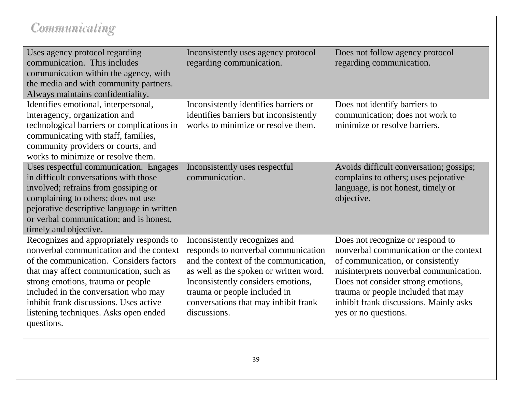| Uses agency protocol regarding<br>communication. This includes<br>communication within the agency, with<br>the media and with community partners.<br>Always maintains confidentiality.                                                                                                                                                                 | Inconsistently uses agency protocol<br>regarding communication.                                                                                                                                                                                                                       | Does not follow agency protocol<br>regarding communication.                                                                                                                                                                                                                                             |
|--------------------------------------------------------------------------------------------------------------------------------------------------------------------------------------------------------------------------------------------------------------------------------------------------------------------------------------------------------|---------------------------------------------------------------------------------------------------------------------------------------------------------------------------------------------------------------------------------------------------------------------------------------|---------------------------------------------------------------------------------------------------------------------------------------------------------------------------------------------------------------------------------------------------------------------------------------------------------|
| Identifies emotional, interpersonal,<br>interagency, organization and<br>technological barriers or complications in<br>communicating with staff, families,<br>community providers or courts, and<br>works to minimize or resolve them.                                                                                                                 | Inconsistently identifies barriers or<br>identifies barriers but inconsistently<br>works to minimize or resolve them.                                                                                                                                                                 | Does not identify barriers to<br>communication; does not work to<br>minimize or resolve barriers.                                                                                                                                                                                                       |
| Uses respectful communication. Engages<br>in difficult conversations with those<br>involved; refrains from gossiping or<br>complaining to others; does not use<br>pejorative descriptive language in written<br>or verbal communication; and is honest,<br>timely and objective.                                                                       | Inconsistently uses respectful<br>communication.                                                                                                                                                                                                                                      | Avoids difficult conversation; gossips;<br>complains to others; uses pejorative<br>language, is not honest, timely or<br>objective.                                                                                                                                                                     |
| Recognizes and appropriately responds to<br>nonverbal communication and the context<br>of the communication. Considers factors<br>that may affect communication, such as<br>strong emotions, trauma or people<br>included in the conversation who may<br>inhibit frank discussions. Uses active<br>listening techniques. Asks open ended<br>questions. | Inconsistently recognizes and<br>responds to nonverbal communication<br>and the context of the communication,<br>as well as the spoken or written word.<br>Inconsistently considers emotions,<br>trauma or people included in<br>conversations that may inhibit frank<br>discussions. | Does not recognize or respond to<br>nonverbal communication or the context<br>of communication, or consistently<br>misinterprets nonverbal communication.<br>Does not consider strong emotions,<br>trauma or people included that may<br>inhibit frank discussions. Mainly asks<br>yes or no questions. |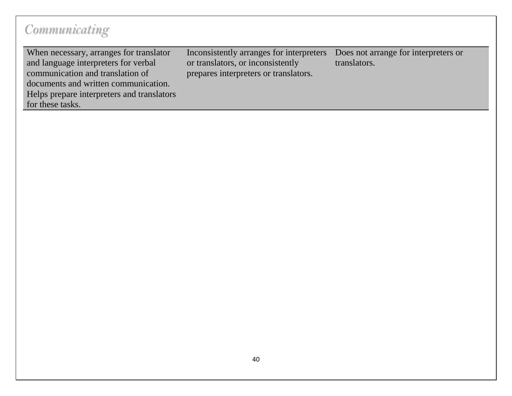| When necessary, arranges for translator    | Inconsistently arranges for interpreters | Does not arrange for interpreters or |
|--------------------------------------------|------------------------------------------|--------------------------------------|
| and language interpreters for verbal       | or translators, or inconsistently        | translators.                         |
| communication and translation of           | prepares interpreters or translators.    |                                      |
| documents and written communication.       |                                          |                                      |
| Helps prepare interpreters and translators |                                          |                                      |
| for these tasks.                           |                                          |                                      |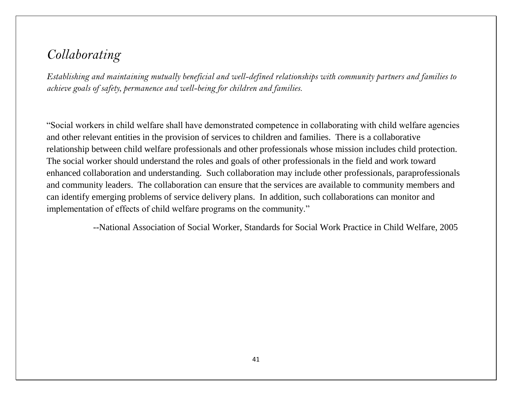### *Collaborating*

*Establishing and maintaining mutually beneficial and well-defined relationships with community partners and families to achieve goals of safety, permanence and well-being for children and families.*

"Social workers in child welfare shall have demonstrated competence in collaborating with child welfare agencies and other relevant entities in the provision of services to children and families. There is a collaborative relationship between child welfare professionals and other professionals whose mission includes child protection. The social worker should understand the roles and goals of other professionals in the field and work toward enhanced collaboration and understanding. Such collaboration may include other professionals, paraprofessionals and community leaders. The collaboration can ensure that the services are available to community members and can identify emerging problems of service delivery plans. In addition, such collaborations can monitor and implementation of effects of child welfare programs on the community."

--National Association of Social Worker, Standards for Social Work Practice in Child Welfare, 2005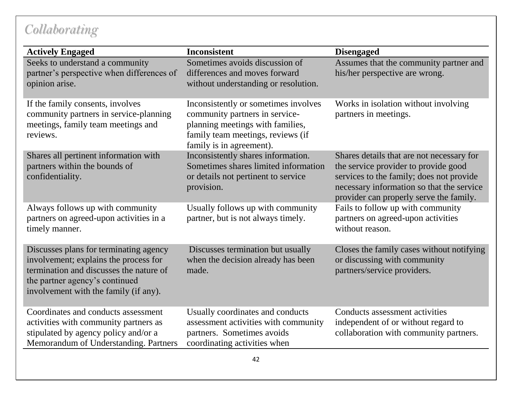## *Collaborating*

| <b>Actively Engaged</b>                                                                                                                                                                               | <b>Inconsistent</b>                                                                                                                                                         | <b>Disengaged</b>                                                                                                                                                                                                     |
|-------------------------------------------------------------------------------------------------------------------------------------------------------------------------------------------------------|-----------------------------------------------------------------------------------------------------------------------------------------------------------------------------|-----------------------------------------------------------------------------------------------------------------------------------------------------------------------------------------------------------------------|
| Seeks to understand a community<br>partner's perspective when differences of<br>opinion arise.                                                                                                        | Sometimes avoids discussion of<br>differences and moves forward<br>without understanding or resolution.                                                                     | Assumes that the community partner and<br>his/her perspective are wrong.                                                                                                                                              |
| If the family consents, involves<br>community partners in service-planning<br>meetings, family team meetings and<br>reviews.                                                                          | Inconsistently or sometimes involves<br>community partners in service-<br>planning meetings with families,<br>family team meetings, reviews (if<br>family is in agreement). | Works in isolation without involving<br>partners in meetings.                                                                                                                                                         |
| Shares all pertinent information with<br>partners within the bounds of<br>confidentiality.                                                                                                            | Inconsistently shares information.<br>Sometimes shares limited information<br>or details not pertinent to service<br>provision.                                             | Shares details that are not necessary for<br>the service provider to provide good<br>services to the family; does not provide<br>necessary information so that the service<br>provider can properly serve the family. |
| Always follows up with community<br>partners on agreed-upon activities in a<br>timely manner.                                                                                                         | Usually follows up with community<br>partner, but is not always timely.                                                                                                     | Fails to follow up with community<br>partners on agreed-upon activities<br>without reason.                                                                                                                            |
| Discusses plans for terminating agency<br>involvement; explains the process for<br>termination and discusses the nature of<br>the partner agency's continued<br>involvement with the family (if any). | Discusses termination but usually<br>when the decision already has been<br>made.                                                                                            | Closes the family cases without notifying<br>or discussing with community<br>partners/service providers.                                                                                                              |
| Coordinates and conducts assessment<br>activities with community partners as<br>stipulated by agency policy and/or a<br>Memorandum of Understanding. Partners                                         | Usually coordinates and conducts<br>assessment activities with community<br>partners. Sometimes avoids<br>coordinating activities when                                      | Conducts assessment activities<br>independent of or without regard to<br>collaboration with community partners.                                                                                                       |